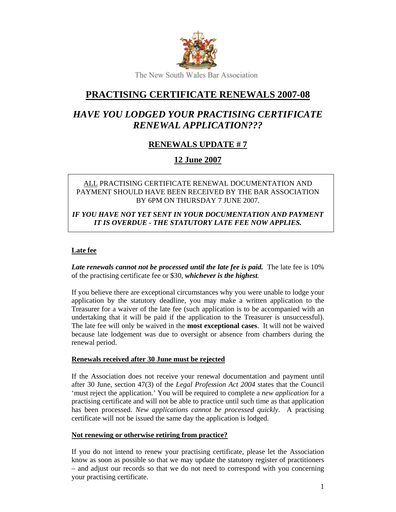

# **PRACTISING CERTIFICATE RENEWALS 2007-08**

# *HAVE YOU LODGED YOUR PRACTISING CERTIFICATE RENEWAL APPLICATION???*

## **RENEWALS UPDATE # 7**

### **12 June 2007**

#### ALL PRACTISING CERTIFICATE RENEWAL DOCUMENTATION AND PAYMENT SHOULD HAVE BEEN RECEIVED BY THE BAR ASSOCIATION BY 6PM ON THURSDAY 7 JUNE 2007.

*IF YOU HAVE NOT YET SENT IN YOUR DOCUMENTATION AND PAYMENT IT IS OVERDUE - THE STATUTORY LATE FEE NOW APPLIES.* 

### **Late fee**

Late renewals cannot not be processed until the late fee is paid. The late fee is 10% of the practising certificate fee or \$30, *whichever is the highest.*

If you believe there are exceptional circumstances why you were unable to lodge your application by the statutory deadline, you may make a written application to the Treasurer for a waiver of the late fee (such application is to be accompanied with an undertaking that it will be paid if the application to the Treasurer is unsuccessful). The late fee will only be waived in the **most exceptional cases**. It will not be waived because late lodgement was due to oversight or absence from chambers during the renewal period.

#### **Renewals received after 30 June must be rejected**

If the Association does not receive your renewal documentation and payment until after 30 June, section 47(3) of the *Legal Profession Act 2004* states that the Council 'must reject the application.' You will be required to complete a *new application* for a practising certificate and will not be able to practice until such time as that application has been processed. *New applications cannot be processed quickly*. A practising certificate will not be issued the same day the application is lodged.

#### **Not renewing or otherwise retiring from practice?**

If you do not intend to renew your practising certificate, please let the Association know as soon as possible so that we may update the statutory register of practitioners – and adjust our records so that we do not need to correspond with you concerning your practising certificate.